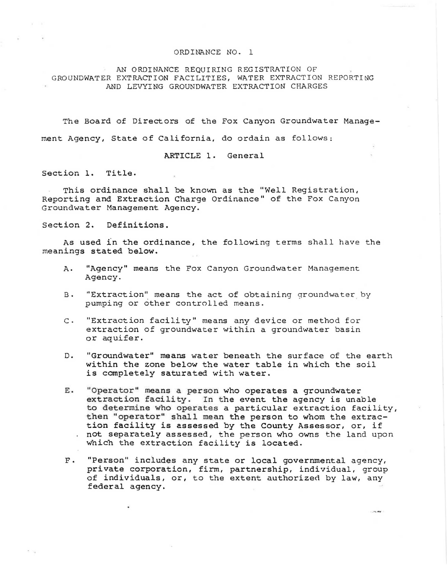## ORDINANCE NO. 1

AN ORDINANCE REQUIRING REGISTRATION OF GROUNDWATER EXTRACTION FACILITIES, WATER EXTRACTION REPORTING AND LEVYING GROUNDWATER EXTRACTION CHARGES

The Board of Directors of the Fox Canyon Groundwater Management Agency, State of California, do ordain as follows;

ARTICLE l. General

Section 1. Title.

This ordinance shall be known as the "Well Registration, Reporting and Extraction Charge Ordinance" of the Fox Canyon Groundwater Management Agency.

Section 2. Definitions.

As used in the ordinance, the following terms shall have the meanings stated below.

- A. "Agency" means the Fox Canyon Groundwater Management Agency.
- B. "Extraction" means the act of obtaining groundwater by pumping or other controlled means.
- c. "Extraction facility" means any device or method for extraction of groundwater within a groundwater basin or aquifer.
- D. "Groundwater" means water beneath the surface of the earth within the zone below the water table in which the soil is completely saturated with water.
- E. "Operator" means a person who operates a groundwater extraction facility. In the event the agency is unable to determine who operates a particular extraction facility, then "operator" shall mean the person to whom the extraction facility is assessed by the County Assessor, or, if not separately assessed, the person who owns the land upon which the extraction facility is located.
- F. "Person" includes any state or local governmental agency, private corporation, firm, partnership, individual, group of individuals, or, to the extent authorized by law, any federal agency.

 $1.76 - 0.01$